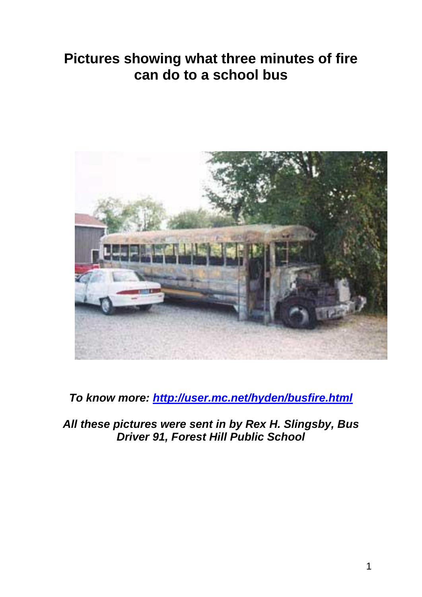## **Pictures showing what three minutes of fire can do to a school bus**



*To know more:<http://user.mc.net/hyden/busfire.html>*

*All these pictures were sent in by Rex H. Slingsby, Bus Driver 91, Forest Hill Public School*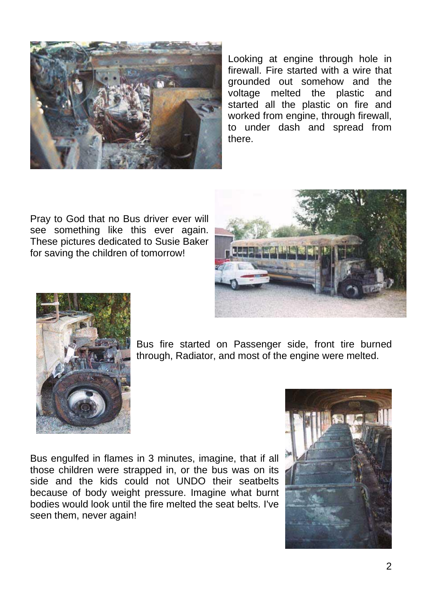

Looking at engine through hole in firewall. Fire started with a wire that grounded out somehow and the voltage melted the plastic and started all the plastic on fire and worked from engine, through firewall, to under dash and spread from there.

Pray to God that no Bus driver ever will see something like this ever again. These pictures dedicated to Susie Baker for saving the children of tomorrow!





Bus fire started on Passenger side, front tire burned through, Radiator, and most of the engine were melted.

Bus engulfed in flames in 3 minutes, imagine, that if all those children were strapped in, or the bus was on its side and the kids could not UNDO their seatbelts because of body weight pressure. Imagine what burnt bodies would look until the fire melted the seat belts. I've seen them, never again!

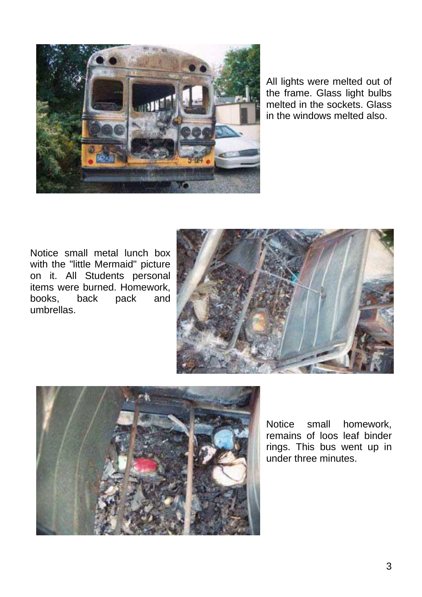

All lights were melted out of the frame. Glass light bulbs melted in the sockets. Glass in the windows melted also.

Notice small metal lunch box with the "little Mermaid" picture on it. All Students personal items were burned. Homework, books, back pack and umbrellas.





Notice small homework, remains of loos leaf binder rings. This bus went up in under three minutes.